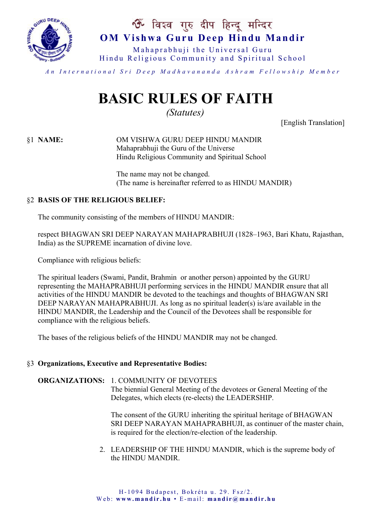

# ॐ विश्व गुरु दीप हिन्दू मन्दिर **OM Vishwa Guru Deep Hindu Mandir**

Mahaprabhuji the Universal Guru Hindu Religious Community and Spiritual School

*A n I n t e r n a t i o n a l S r i D e e p M a d h a v a n a n d a A s h r a m F e l l o w s h i p M e m b e r*

# **BASIC RULES OF FAITH**

*(Statutes)*

[English Translation]

§1 **NAME:** OM VISHWA GURU DEEP HINDU MANDIR Mahaprabhuji the Guru of the Universe Hindu Religious Community and Spiritual School

> The name may not be changed. (The name is hereinafter referred to as HINDU MANDIR)

#### §2 **BASIS OF THE RELIGIOUS BELIEF:**

The community consisting of the members of HINDU MANDIR:

respect BHAGWAN SRI DEEP NARAYAN MAHAPRABHUJI (1828–1963, Bari Khatu, Rajasthan, India) as the SUPREME incarnation of divine love.

Compliance with religious beliefs:

The spiritual leaders (Swami, Pandit, Brahmin or another person) appointed by the GURU representing the MAHAPRABHUJI performing services in the HINDU MANDIR ensure that all activities of the HINDU MANDIR be devoted to the teachings and thoughts of BHAGWAN SRI DEEP NARAYAN MAHAPRABHUJI. As long as no spiritual leader(s) is/are available in the HINDU MANDIR, the Leadership and the Council of the Devotees shall be responsible for compliance with the religious beliefs.

The bases of the religious beliefs of the HINDU MANDIR may not be changed.

#### §3 **Organizations, Executive and Representative Bodies:**

**ORGANIZATIONS:** 1. COMMUNITY OF DEVOTEES The biennial General Meeting of the devotees or General Meeting of the Delegates, which elects (re-elects) the LEADERSHIP.

> The consent of the GURU inheriting the spiritual heritage of BHAGWAN SRI DEEP NARAYAN MAHAPRABHUJI, as continuer of the master chain, is required for the election/re-election of the leadership.

2. LEADERSHIP OF THE HINDU MANDIR, which is the supreme body of the HINDU MANDIR.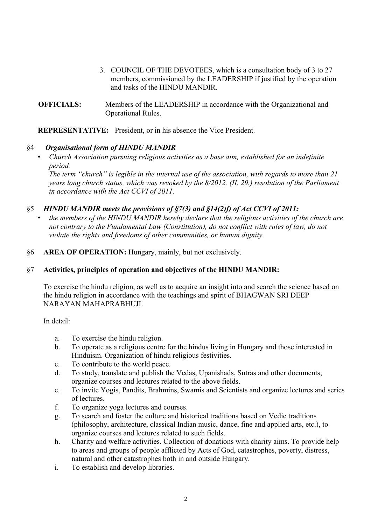- 3. COUNCIL OF THE DEVOTEES, which is a consultation body of 3 to 27 members, commissioned by the LEADERSHIP if justified by the operation and tasks of the HINDU MANDIR.
- **OFFICIALS:** Members of the LEADERSHIP in accordance with the Organizational and Operational Rules.

**REPRESENTATIVE:** President, or in his absence the Vice President.

#### §4 *Organisational form of HINDU MANDIR*

• *Church Association pursuing religious activities as a base aim, established for an indefinite period.*

*The term "church" is legible in the internal use of the association, with regards to more than 21 years long church status, which was revoked by the 8/2012. (II. 29.) resolution of the Parliament in accordance with the Act CCVI of 2011.*

#### §5 *HINDU MANDIR meets the provisions of §7(3) and §14(2)f) of Act CCVI of 2011:*

- *the members of the HINDU MANDIR hereby declare that the religious activities of the church are not contrary to the Fundamental Law (Constitution), do not conflict with rules of law, do not violate the rights and freedoms of other communities, or human dignity.*
- §6 **AREA OF OPERATION:** Hungary, mainly, but not exclusively.

#### §7 **Activities, principles of operation and objectives of the HINDU MANDIR:**

To exercise the hindu religion, as well as to acquire an insight into and search the science based on the hindu religion in accordance with the teachings and spirit of BHAGWAN SRI DEEP NARAYAN MAHAPRABHUJI.

In detail:

- a. To exercise the hindu religion.
- b. To operate as a religious centre for the hindus living in Hungary and those interested in Hinduism. Organization of hindu religious festivities.
- c. To contribute to the world peace.
- d. To study, translate and publish the Vedas, Upanishads, Sutras and other documents, organize courses and lectures related to the above fields.
- e. To invite Yogis, Pandits, Brahmins, Swamis and Scientists and organize lectures and series of lectures.
- f. To organize yoga lectures and courses.
- g. To search and foster the culture and historical traditions based on Vedic traditions (philosophy, architecture, classical Indian music, dance, fine and applied arts, etc.), to organize courses and lectures related to such fields.
- h. Charity and welfare activities. Collection of donations with charity aims. To provide help to areas and groups of people afflicted by Acts of God, catastrophes, poverty, distress, natural and other catastrophes both in and outside Hungary.
- i. To establish and develop libraries.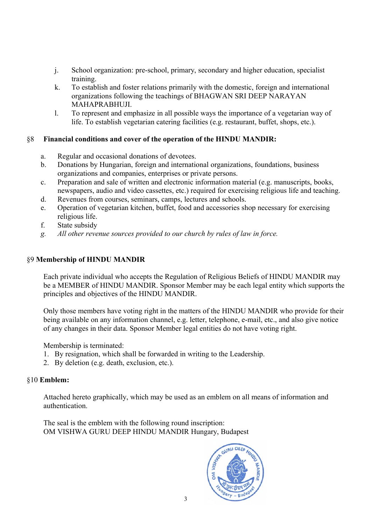- j. School organization: pre-school, primary, secondary and higher education, specialist training.
- k. To establish and foster relations primarily with the domestic, foreign and international organizations following the teachings of BHAGWAN SRI DEEP NARAYAN MAHAPRABHUJI.
- l. To represent and emphasize in all possible ways the importance of a vegetarian way of life. To establish vegetarian catering facilities (e.g. restaurant, buffet, shops, etc.).

#### §8 **Financial conditions and cover of the operation of the HINDU MANDIR:**

- a. Regular and occasional donations of devotees.
- b. Donations by Hungarian, foreign and international organizations, foundations, business organizations and companies, enterprises or private persons.
- c. Preparation and sale of written and electronic information material (e.g. manuscripts, books, newspapers, audio and video cassettes, etc.) required for exercising religious life and teaching.
- d. Revenues from courses, seminars, camps, lectures and schools.
- e. Operation of vegetarian kitchen, buffet, food and accessories shop necessary for exercising religious life.
- f. State subsidy
- *g. All other revenue sources provided to our church by rules of law in force.*

### §9 **Membership of HINDU MANDIR**

Each private individual who accepts the Regulation of Religious Beliefs of HINDU MANDIR may be a MEMBER of HINDU MANDIR. Sponsor Member may be each legal entity which supports the principles and objectives of the HINDU MANDIR.

Only those members have voting right in the matters of the HINDU MANDIR who provide for their being available on any information channel, e.g. letter, telephone, e-mail, etc., and also give notice of any changes in their data. Sponsor Member legal entities do not have voting right.

Membership is terminated:

- 1. By resignation, which shall be forwarded in writing to the Leadership.
- 2. By deletion (e.g. death, exclusion, etc.).

## §10 **Emblem:**

Attached hereto graphically, which may be used as an emblem on all means of information and authentication.

The seal is the emblem with the following round inscription: OM VISHWA GURU DEEP HINDU MANDIR Hungary, Budapest